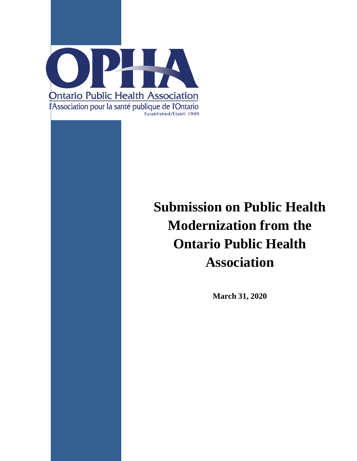

# **Submission on Public Health Modernization from the Ontario Public Health Association**

**March 31, 2020**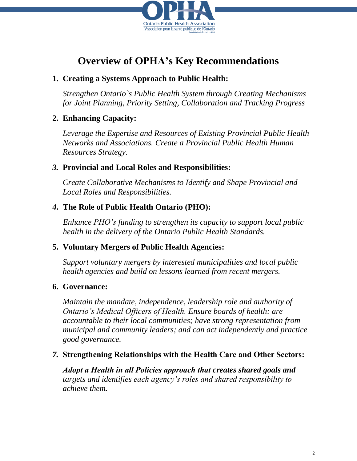

# **Overview of OPHA's Key Recommendations**

### **1. Creating a Systems Approach to Public Health:**

*Strengthen Ontario`s Public Health System through Creating Mechanisms for Joint Planning, Priority Setting, Collaboration and Tracking Progress*

## **2. Enhancing Capacity:**

*Leverage the Expertise and Resources of Existing Provincial Public Health Networks and Associations. Create a Provincial Public Health Human Resources Strategy.*

### *3.* **Provincial and Local Roles and Responsibilities:**

*Create Collaborative Mechanisms to Identify and Shape Provincial and Local Roles and Responsibilities.* 

## *4.* **The Role of Public Health Ontario (PHO):**

*Enhance PHO's funding to strengthen its capacity to support local public health in the delivery of the Ontario Public Health Standards.*

## **5. Voluntary Mergers of Public Health Agencies:**

*Support voluntary mergers by interested municipalities and local public health agencies and build on lessons learned from recent mergers.*

### **6. Governance:**

*Maintain the mandate, independence, leadership role and authority of Ontario's Medical Officers of Health. Ensure boards of health: are accountable to their local communities; have strong representation from municipal and community leaders; and can act independently and practice good governance.*

### *7.* **Strengthening Relationships with the Health Care and Other Sectors:**

*Adopt a Health in all Policies approach that creates shared goals and targets and identifies each agency's roles and shared responsibility to achieve them.*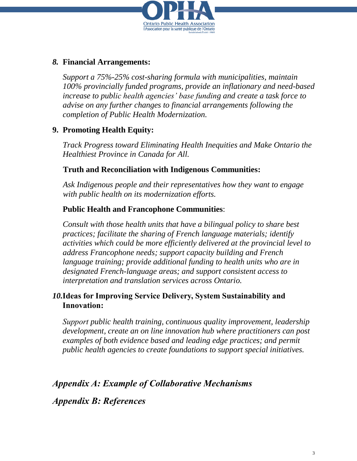

# *8.* **Financial Arrangements:**

*Support a 75%-25% cost-sharing formula with municipalities, maintain 100% provincially funded programs, provide an inflationary and need-based increase to public health agencies' base funding and create a task force to advise on any further changes to financial arrangements following the completion of Public Health Modernization.*

# **9. Promoting Health Equity:**

*Track Progress toward Eliminating Health Inequities and Make Ontario the Healthiest Province in Canada for All.*

## **Truth and Reconciliation with Indigenous Communities:**

*Ask Indigenous people and their representatives how they want to engage with public health on its modernization efforts.*

# **Public Health and Francophone Communities**:

*Consult with those health units that have a bilingual policy to share best practices; facilitate the sharing of French language materials; identify activities which could be more efficiently delivered at the provincial level to address Francophone needs; support capacity building and French language training; provide additional funding to health units who are in designated French-language areas; and support consistent access to interpretation and translation services across Ontario.*

## *10.***Ideas for Improving Service Delivery, System Sustainability and Innovation:**

*Support public health training, continuous quality improvement, leadership development, create an on line innovation hub where practitioners can post examples of both evidence based and leading edge practices; and permit public health agencies to create foundations to support special initiatives.*

# *Appendix A: Example of Collaborative Mechanisms*

# *Appendix B: References*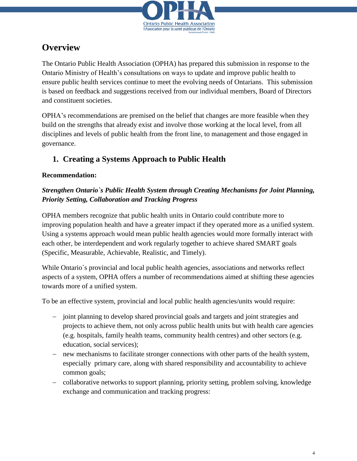

# **Overview**

The Ontario Public Health Association (OPHA) has prepared this submission in response to the Ontario Ministry of Health's consultations on ways to update and improve public health to ensure public health services continue to meet the evolving needs of Ontarians. This submission is based on feedback and suggestions received from our individual members, Board of Directors and constituent societies.

OPHA's recommendations are premised on the belief that changes are more feasible when they build on the strengths that already exist and involve those working at the local level, from all disciplines and levels of public health from the front line, to management and those engaged in governance.

# **1. Creating a Systems Approach to Public Health**

### **Recommendation:**

### *Strengthen Ontario`s Public Health System through Creating Mechanisms for Joint Planning, Priority Setting, Collaboration and Tracking Progress*

OPHA members recognize that public health units in Ontario could contribute more to improving population health and have a greater impact if they operated more as a unified system. Using a systems approach would mean public health agencies would more formally interact with each other, be interdependent and work regularly together to achieve shared SMART goals (Specific, Measurable, Achievable, Realistic, and Timely).

While Ontario`s provincial and local public health agencies, associations and networks reflect aspects of a system, OPHA offers a number of recommendations aimed at shifting these agencies towards more of a unified system.

To be an effective system, provincial and local public health agencies/units would require:

- joint planning to develop shared provincial goals and targets and joint strategies and projects to achieve them, not only across public health units but with health care agencies (e.g. hospitals, family health teams, community health centres) and other sectors (e.g. education, social services);
- new mechanisms to facilitate stronger connections with other parts of the health system, especially primary care, along with shared responsibility and accountability to achieve common goals;
- collaborative networks to support planning, priority setting, problem solving, knowledge exchange and communication and tracking progress: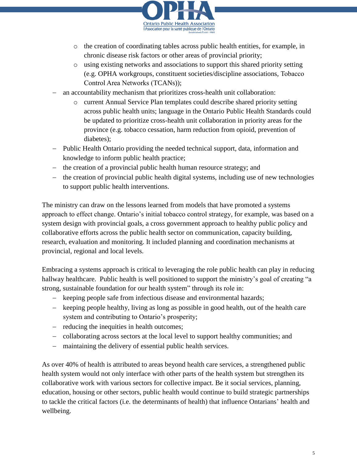

- o the creation of coordinating tables across public health entities, for example, in chronic disease risk factors or other areas of provincial priority;
- o using existing networks and associations to support this shared priority setting (e.g. OPHA workgroups, constituent societies/discipline associations, Tobacco Control Area Networks (TCANs));
- an accountability mechanism that prioritizes cross-health unit collaboration:
	- o current Annual Service Plan templates could describe shared priority setting across public health units; language in the Ontario Public Health Standards could be updated to prioritize cross-health unit collaboration in priority areas for the province (e.g. tobacco cessation, harm reduction from opioid, prevention of diabetes);
- Public Health Ontario providing the needed technical support, data, information and knowledge to inform public health practice;
- the creation of a provincial public health human resource strategy; and
- the creation of provincial public health digital systems, including use of new technologies to support public health interventions.

The ministry can draw on the lessons learned from models that have promoted a systems approach to effect change. Ontario's initial tobacco control strategy, for example, was based on a system design with provincial goals, a cross government approach to healthy public policy and collaborative efforts across the public health sector on communication, capacity building, research, evaluation and monitoring. It included planning and coordination mechanisms at provincial, regional and local levels.

Embracing a systems approach is critical to leveraging the role public health can play in reducing hallway healthcare. Public health is well positioned to support the ministry's goal of creating "a strong, sustainable foundation for our health system" through its role in:

- keeping people safe from infectious disease and environmental hazards;
- keeping people healthy, living as long as possible in good health, out of the health care system and contributing to Ontario's prosperity;
- reducing the inequities in health outcomes;
- collaborating across sectors at the local level to support healthy communities; and
- maintaining the delivery of essential public health services.

As over 40% of health is attributed to areas beyond health care services, a strengthened public health system would not only interface with other parts of the health system but strengthen its collaborative work with various sectors for collective impact. Be it social services, planning, education, housing or other sectors, public health would continue to build strategic partnerships to tackle the critical factors (i.e. the determinants of health) that influence Ontarians' health and wellbeing.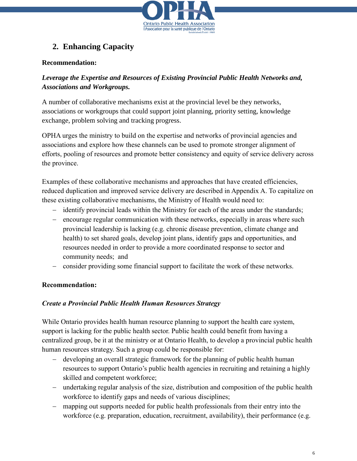

# **2. Enhancing Capacity**

#### **Recommendation:**

### *Leverage the Expertise and Resources of Existing Provincial Public Health Networks and, Associations and Workgroups.*

A number of collaborative mechanisms exist at the provincial level be they networks, associations or workgroups that could support joint planning, priority setting, knowledge exchange, problem solving and tracking progress.

OPHA urges the ministry to build on the expertise and networks of provincial agencies and associations and explore how these channels can be used to promote stronger alignment of efforts, pooling of resources and promote better consistency and equity of service delivery across the province.

Examples of these collaborative mechanisms and approaches that have created efficiencies, reduced duplication and improved service delivery are described in Appendix A. To capitalize on these existing collaborative mechanisms, the Ministry of Health would need to:

- identify provincial leads within the Ministry for each of the areas under the standards;
- encourage regular communication with these networks, especially in areas where such provincial leadership is lacking (e.g. chronic disease prevention, climate change and health) to set shared goals, develop joint plans, identify gaps and opportunities, and resources needed in order to provide a more coordinated response to sector and community needs; and
- consider providing some financial support to facilitate the work of these networks.

### **Recommendation:**

#### *Create a Provincial Public Health Human Resources Strategy*

While Ontario provides health human resource planning to support the health care system, support is lacking for the public health sector. Public health could benefit from having a centralized group, be it at the ministry or at Ontario Health, to develop a provincial public health human resources strategy. Such a group could be responsible for:

- developing an overall strategic framework for the planning of public health human resources to support Ontario's public health agencies in recruiting and retaining a highly skilled and competent workforce;
- undertaking regular analysis of the size, distribution and composition of the public health workforce to identify gaps and needs of various disciplines;
- mapping out supports needed for public health professionals from their entry into the workforce (e.g. preparation, education, recruitment, availability), their performance (e.g.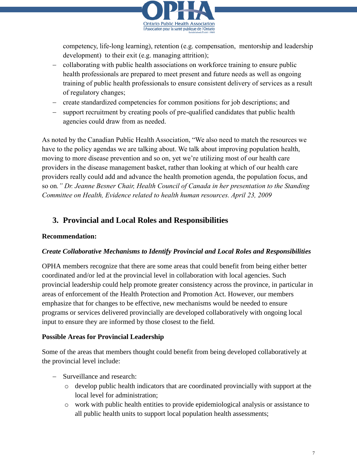

competency, life-long learning), retention (e.g. compensation, mentorship and leadership development) to their exit (e.g. managing attrition);

- collaborating with public health associations on workforce training to ensure public health professionals are prepared to meet present and future needs as well as ongoing training of public health professionals to ensure consistent delivery of services as a result of regulatory changes;
- create standardized competencies for common positions for job descriptions; and
- support recruitment by creating pools of pre-qualified candidates that public health agencies could draw from as needed.

As noted by the Canadian Public Health Association, "We also need to match the resources we have to the policy agendas we are talking about. We talk about improving population health, moving to more disease prevention and so on, yet we're utilizing most of our health care providers in the disease management basket, rather than looking at which of our health care providers really could add and advance the health promotion agenda, the population focus, and so on*." Dr. Jeanne Besner Chair, Health Council of Canada in her presentation to the Standing Committee on Health, Evidence related to health human resources. April 23, 2009*

# **3. Provincial and Local Roles and Responsibilities**

#### **Recommendation:**

#### *Create Collaborative Mechanisms to Identify Provincial and Local Roles and Responsibilities*

OPHA members recognize that there are some areas that could benefit from being either better coordinated and/or led at the provincial level in collaboration with local agencies. Such provincial leadership could help promote greater consistency across the province, in particular in areas of enforcement of the Health Protection and Promotion Act. However, our members emphasize that for changes to be effective, new mechanisms would be needed to ensure programs or services delivered provincially are developed collaboratively with ongoing local input to ensure they are informed by those closest to the field.

#### **Possible Areas for Provincial Leadership**

Some of the areas that members thought could benefit from being developed collaboratively at the provincial level include:

- Surveillance and research:
	- o develop public health indicators that are coordinated provincially with support at the local level for administration;
	- o work with public health entities to provide epidemiological analysis or assistance to all public health units to support local population health assessments;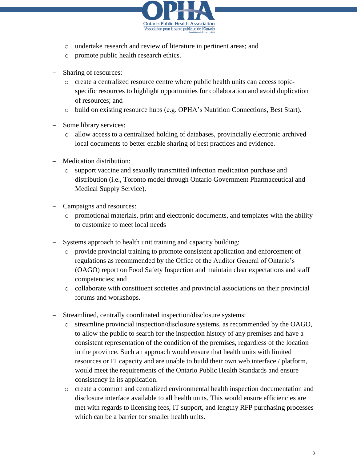

- o undertake research and review of literature in pertinent areas; and
- o promote public health research ethics.
- Sharing of resources:
	- o create a centralized resource centre where public health units can access topicspecific resources to highlight opportunities for collaboration and avoid duplication of resources; and
	- o build on existing resource hubs (e.g. OPHA's Nutrition Connections, Best Start).
- Some library services:
	- o allow access to a centralized holding of databases, provincially electronic archived local documents to better enable sharing of best practices and evidence.
- Medication distribution:
	- o support vaccine and sexually transmitted infection medication purchase and distribution (i.e., Toronto model through Ontario Government Pharmaceutical and Medical Supply Service).
- Campaigns and resources:
	- o promotional materials, print and electronic documents, and templates with the ability to customize to meet local needs
- Systems approach to health unit training and capacity building:
	- o provide provincial training to promote consistent application and enforcement of regulations as recommended by the Office of the Auditor General of Ontario's (OAGO) report on Food Safety Inspection and maintain clear expectations and staff competencies; and
	- o collaborate with constituent societies and provincial associations on their provincial forums and workshops.
- Streamlined, centrally coordinated inspection/disclosure systems:
	- o streamline provincial inspection/disclosure systems, as recommended by the OAGO, to allow the public to search for the inspection history of any premises and have a consistent representation of the condition of the premises, regardless of the location in the province. Such an approach would ensure that health units with limited resources or IT capacity and are unable to build their own web interface / platform, would meet the requirements of the Ontario Public Health Standards and ensure consistency in its application.
	- o create a common and centralized environmental health inspection documentation and disclosure interface available to all health units. This would ensure efficiencies are met with regards to licensing fees, IT support, and lengthy RFP purchasing processes which can be a barrier for smaller health units.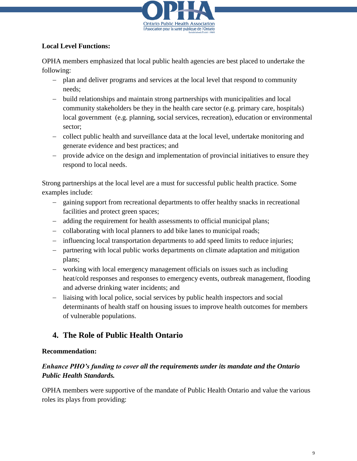

#### **Local Level Functions:**

OPHA members emphasized that local public health agencies are best placed to undertake the following:

- plan and deliver programs and services at the local level that respond to community needs;
- build relationships and maintain strong partnerships with municipalities and local community stakeholders be they in the health care sector (e.g. primary care, hospitals) local government (e.g. planning, social services, recreation), education or environmental sector;
- collect public health and surveillance data at the local level, undertake monitoring and generate evidence and best practices; and
- provide advice on the design and implementation of provincial initiatives to ensure they respond to local needs.

Strong partnerships at the local level are a must for successful public health practice. Some examples include:

- gaining support from recreational departments to offer healthy snacks in recreational facilities and protect green spaces;
- adding the requirement for health assessments to official municipal plans;
- collaborating with local planners to add bike lanes to municipal roads;
- influencing local transportation departments to add speed limits to reduce injuries;
- partnering with local public works departments on climate adaptation and mitigation plans;
- working with local emergency management officials on issues such as including heat/cold responses and responses to emergency events, outbreak management, flooding and adverse drinking water incidents; and
- liaising with local police, social services by public health inspectors and social determinants of health staff on housing issues to improve health outcomes for members of vulnerable populations.

# **4. The Role of Public Health Ontario**

#### **Recommendation:**

### *Enhance PHO's funding to cover all the requirements under its mandate and the Ontario Public Health Standards.*

OPHA members were supportive of the mandate of Public Health Ontario and value the various roles its plays from providing: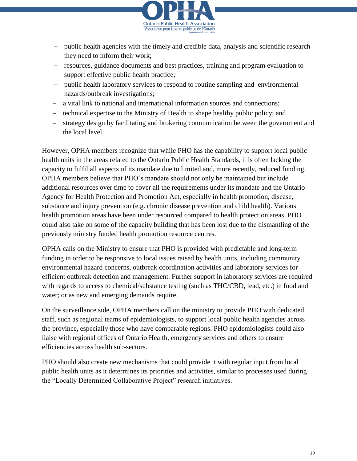

- public health agencies with the timely and credible data, analysis and scientific research they need to inform their work;
- resources, guidance documents and best practices, training and program evaluation to support effective public health practice;
- public health laboratory services to respond to routine sampling and environmental hazards/outbreak investigations;
- a vital link to national and international information sources and connections;
- technical expertise to the Ministry of Health to shape healthy public policy; and
- strategy design by facilitating and brokering communication between the government and the local level.

However, OPHA members recognize that while PHO has the capability to support local public health units in the areas related to the Ontario Public Health Standards, it is often lacking the capacity to fulfil all aspects of its mandate due to limited and, more recently, reduced funding. OPHA members believe that PHO's mandate should not only be maintained but include additional resources over time to cover all the requirements under its mandate and the Ontario Agency for Health Protection and Promotion Act, especially in health promotion, disease, substance and injury prevention (e.g. chronic disease prevention and child health). Various health promotion areas have been under resourced compared to health protection areas. PHO could also take on some of the capacity building that has been lost due to the dismantling of the previously ministry funded health promotion resource centres.

OPHA calls on the Ministry to ensure that PHO is provided with predictable and long-term funding in order to be responsive to local issues raised by health units, including community environmental hazard concerns, outbreak coordination activities and laboratory services for efficient outbreak detection and management. Further support in laboratory services are required with regards to access to chemical/substance testing (such as THC/CBD, lead, etc.) in food and water; or as new and emerging demands require.

On the surveillance side, OPHA members call on the ministry to provide PHO with dedicated staff, such as regional teams of epidemiologists, to support local public health agencies across the province, especially those who have comparable regions. PHO epidemiologists could also liaise with regional offices of Ontario Health, emergency services and others to ensure efficiencies across health sub-sectors.

PHO should also create new mechanisms that could provide it with regular input from local public health units as it determines its priorities and activities, similar to processes used during the "Locally Determined Collaborative Project" research initiatives.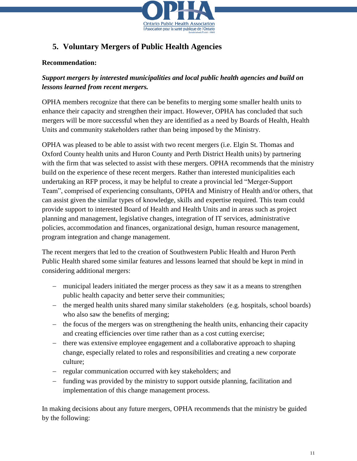

# **5. Voluntary Mergers of Public Health Agencies**

#### **Recommendation:**

### *Support mergers by interested municipalities and local public health agencies and build on lessons learned from recent mergers.*

OPHA members recognize that there can be benefits to merging some smaller health units to enhance their capacity and strengthen their impact. However, OPHA has concluded that such mergers will be more successful when they are identified as a need by Boards of Health, Health Units and community stakeholders rather than being imposed by the Ministry.

OPHA was pleased to be able to assist with two recent mergers (i.e. Elgin St. Thomas and Oxford County health units and Huron County and Perth District Health units) by partnering with the firm that was selected to assist with these mergers. OPHA recommends that the ministry build on the experience of these recent mergers. Rather than interested municipalities each undertaking an RFP process, it may be helpful to create a provincial led "Merger-Support Team", comprised of experiencing consultants, OPHA and Ministry of Health and/or others, that can assist given the similar types of knowledge, skills and expertise required. This team could provide support to interested Board of Health and Health Units and in areas such as project planning and management, legislative changes, integration of IT services, administrative policies, accommodation and finances, organizational design, human resource management, program integration and change management.

The recent mergers that led to the creation of Southwestern Public Health and Huron Perth Public Health shared some similar features and lessons learned that should be kept in mind in considering additional mergers:

- municipal leaders initiated the merger process as they saw it as a means to strengthen public health capacity and better serve their communities;
- the merged health units shared many similar stakeholders (e.g. hospitals, school boards) who also saw the benefits of merging;
- $\hbox{–}$  the focus of the mergers was on strengthening the health units, enhancing their capacity and creating efficiencies over time rather than as a cost cutting exercise;
- there was extensive employee engagement and a collaborative approach to shaping change, especially related to roles and responsibilities and creating a new corporate culture;
- regular communication occurred with key stakeholders; and
- funding was provided by the ministry to support outside planning, facilitation and implementation of this change management process.

In making decisions about any future mergers, OPHA recommends that the ministry be guided by the following: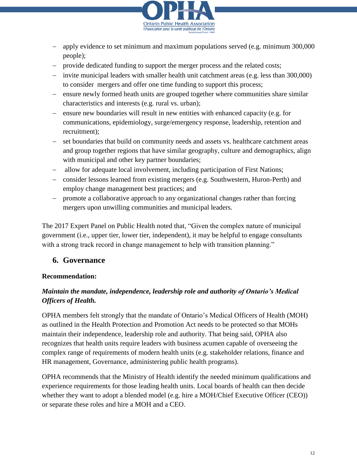

- apply evidence to set minimum and maximum populations served (e.g. minimum 300,000 people);
- provide dedicated funding to support the merger process and the related costs;
- invite municipal leaders with smaller health unit catchment areas (e.g. less than 300,000) to consider mergers and offer one time funding to support this process;
- ensure newly formed heath units are grouped together where communities share similar characteristics and interests (e.g. rural vs. urban);
- ensure new boundaries will result in new entities with enhanced capacity (e.g. for communications, epidemiology, surge/emergency response, leadership, retention and recruitment);
- set boundaries that build on community needs and assets vs. healthcare catchment areas and group together regions that have similar geography, culture and demographics, align with municipal and other key partner boundaries;
- allow for adequate local involvement, including participation of First Nations;
- consider lessons learned from existing mergers (e.g. Southwestern, Huron-Perth) and employ change management best practices; and
- promote a collaborative approach to any organizational changes rather than forcing mergers upon unwilling communities and municipal leaders.

The 2017 Expert Panel on Public Health noted that, "Given the complex nature of municipal government (i.e., upper tier, lower tier, independent), it may be helpful to engage consultants with a strong track record in change management to help with transition planning."

### **6. Governance**

#### **Recommendation:**

### *Maintain the mandate, independence, leadership role and authority of Ontario's Medical Officers of Health.*

OPHA members felt strongly that the mandate of Ontario's Medical Officers of Health (MOH) as outlined in the Health Protection and Promotion Act needs to be protected so that MOHs maintain their independence, leadership role and authority. That being said, OPHA also recognizes that health units require leaders with business acumen capable of overseeing the complex range of requirements of modern health units (e.g. stakeholder relations, finance and HR management, Governance, administering public health programs).

OPHA recommends that the Ministry of Health identify the needed minimum qualifications and experience requirements for those leading health units. Local boards of health can then decide whether they want to adopt a blended model (e.g. hire a MOH/Chief Executive Officer (CEO)) or separate these roles and hire a MOH and a CEO.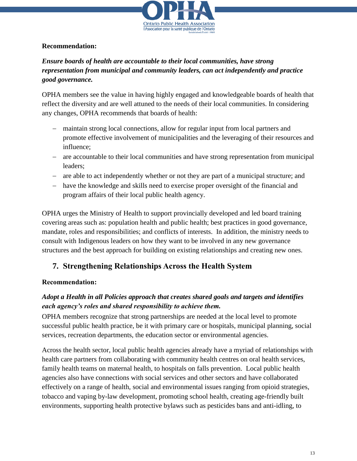

#### **Recommendation:**

### *Ensure boards of health are accountable to their local communities, have strong representation from municipal and community leaders, can act independently and practice good governance.*

OPHA members see the value in having highly engaged and knowledgeable boards of health that reflect the diversity and are well attuned to the needs of their local communities. In considering any changes, OPHA recommends that boards of health:

- maintain strong local connections, allow for regular input from local partners and promote effective involvement of municipalities and the leveraging of their resources and influence;
- are accountable to their local communities and have strong representation from municipal leaders;
- are able to act independently whether or not they are part of a municipal structure; and
- have the knowledge and skills need to exercise proper oversight of the financial and program affairs of their local public health agency.

OPHA urges the Ministry of Health to support provincially developed and led board training covering areas such as: population health and public health; best practices in good governance, mandate, roles and responsibilities; and conflicts of interests. In addition, the ministry needs to consult with Indigenous leaders on how they want to be involved in any new governance structures and the best approach for building on existing relationships and creating new ones.

## **7. Strengthening Relationships Across the Health System**

#### **Recommendation:**

### *Adopt a Health in all Policies approach that creates shared goals and targets and identifies each agency's roles and shared responsibility to achieve them.*

OPHA members recognize that strong partnerships are needed at the local level to promote successful public health practice, be it with primary care or hospitals, municipal planning, social services, recreation departments, the education sector or environmental agencies.

Across the health sector, local public health agencies already have a myriad of relationships with health care partners from collaborating with community health centres on oral health services, family health teams on maternal health, to hospitals on falls prevention. Local public health agencies also have connections with social services and other sectors and have collaborated effectively on a range of health, social and environmental issues ranging from opioid strategies, tobacco and vaping by-law development, promoting school health, creating age-friendly built environments, supporting health protective bylaws such as pesticides bans and anti-idling, to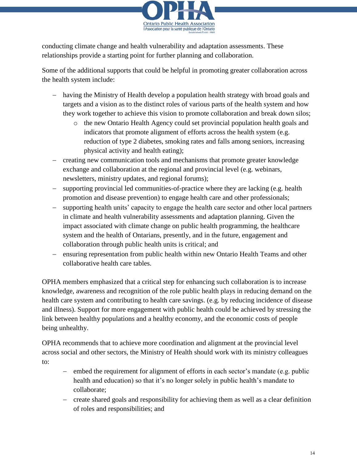

conducting climate change and health vulnerability and adaptation assessments. These relationships provide a starting point for further planning and collaboration.

Some of the additional supports that could be helpful in promoting greater collaboration across the health system include:

- having the Ministry of Health develop a population health strategy with broad goals and targets and a vision as to the distinct roles of various parts of the health system and how they work together to achieve this vision to promote collaboration and break down silos;
	- o the new Ontario Health Agency could set provincial population health goals and indicators that promote alignment of efforts across the health system (e.g. reduction of type 2 diabetes, smoking rates and falls among seniors, increasing physical activity and health eating);
- creating new communication tools and mechanisms that promote greater knowledge exchange and collaboration at the regional and provincial level (e.g. webinars, newsletters, ministry updates, and regional forums);
- supporting provincial led communities-of-practice where they are lacking (e.g. health promotion and disease prevention) to engage health care and other professionals;
- supporting health units' capacity to engage the health care sector and other local partners in climate and health vulnerability assessments and adaptation planning. Given the impact associated with climate change on public health programming, the healthcare system and the health of Ontarians, presently, and in the future, engagement and collaboration through public health units is critical; and
- ensuring representation from public health within new Ontario Health Teams and other collaborative health care tables.

OPHA members emphasized that a critical step for enhancing such collaboration is to increase knowledge, awareness and recognition of the role public health plays in reducing demand on the health care system and contributing to health care savings. (e.g. by reducing incidence of disease and illness). Support for more engagement with public health could be achieved by stressing the link between healthy populations and a healthy economy, and the economic costs of people being unhealthy.

OPHA recommends that to achieve more coordination and alignment at the provincial level across social and other sectors, the Ministry of Health should work with its ministry colleagues to:

- embed the requirement for alignment of efforts in each sector's mandate (e.g. public health and education) so that it's no longer solely in public health's mandate to collaborate;
- create shared goals and responsibility for achieving them as well as a clear definition of roles and responsibilities; and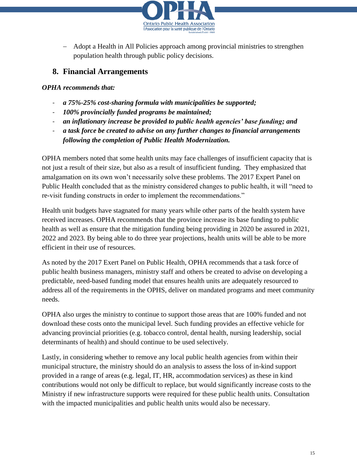

 Adopt a Health in All Policies approach among provincial ministries to strengthen population health through public policy decisions.

## **8. Financial Arrangements**

#### *OPHA recommends that:*

- *a 75%-25% cost-sharing formula with municipalities be supported;*
- *100% provincially funded programs be maintained;*
- *an inflationary increase be provided to public health agencies' base funding; and*
- *a task force be created to advise on any further changes to financial arrangements following the completion of Public Health Modernization.*

OPHA members noted that some health units may face challenges of insufficient capacity that is not just a result of their size, but also as a result of insufficient funding. They emphasized that amalgamation on its own won't necessarily solve these problems. The 2017 Expert Panel on Public Health concluded that as the ministry considered changes to public health, it will "need to re-visit funding constructs in order to implement the recommendations."

Health unit budgets have stagnated for many years while other parts of the health system have received increases. OPHA recommends that the province increase its base funding to public health as well as ensure that the mitigation funding being providing in 2020 be assured in 2021, 2022 and 2023. By being able to do three year projections, health units will be able to be more efficient in their use of resources.

As noted by the 2017 Exert Panel on Public Health, OPHA recommends that a task force of public health business managers, ministry staff and others be created to advise on developing a predictable, need-based funding model that ensures health units are adequately resourced to address all of the requirements in the OPHS, deliver on mandated programs and meet community needs.

OPHA also urges the ministry to continue to support those areas that are 100% funded and not download these costs onto the municipal level. Such funding provides an effective vehicle for advancing provincial priorities (e.g. tobacco control, dental health, nursing leadership, social determinants of health) and should continue to be used selectively.

Lastly, in considering whether to remove any local public health agencies from within their municipal structure, the ministry should do an analysis to assess the loss of in-kind support provided in a range of areas (e.g. legal, IT, HR, accommodation services) as these in kind contributions would not only be difficult to replace, but would significantly increase costs to the Ministry if new infrastructure supports were required for these public health units. Consultation with the impacted municipalities and public health units would also be necessary.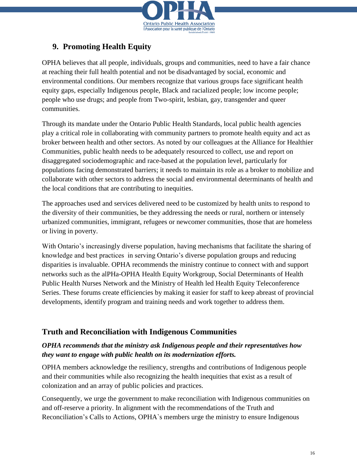

# **9. Promoting Health Equity**

OPHA believes that all people, individuals, groups and communities, need to have a fair chance at reaching their full health potential and not be disadvantaged by social, economic and environmental conditions. Our members recognize that various groups face significant health equity gaps, especially Indigenous people, Black and racialized people; low income people; people who use drugs; and people from Two-spirit, lesbian, gay, transgender and queer communities.

Through its mandate under the Ontario Public Health Standards, local public health agencies play a critical role in collaborating with community partners to promote health equity and act as broker between health and other sectors. As noted by our colleagues at the Alliance for Healthier Communities, public health needs to be adequately resourced to collect, use and report on disaggregated sociodemographic and race-based at the population level, particularly for populations facing demonstrated barriers; it needs to maintain its role as a broker to mobilize and collaborate with other sectors to address the social and environmental determinants of health and the local conditions that are contributing to inequities.

The approaches used and services delivered need to be customized by health units to respond to the diversity of their communities, be they addressing the needs or rural, northern or intensely urbanized communities, immigrant, refugees or newcomer communities, those that are homeless or living in poverty.

With Ontario's increasingly diverse population, having mechanisms that facilitate the sharing of knowledge and best practices in serving Ontario's diverse population groups and reducing disparities is invaluable. OPHA recommends the ministry continue to connect with and support networks such as the alPHa-OPHA Health Equity Workgroup, Social Determinants of Health Public Health Nurses Network and the Ministry of Health led Health Equity Teleconference Series. These forums create efficiencies by making it easier for staff to keep abreast of provincial developments, identify program and training needs and work together to address them.

## **Truth and Reconciliation with Indigenous Communities**

### *OPHA recommends that the ministry ask Indigenous people and their representatives how they want to engage with public health on its modernization efforts.*

OPHA members acknowledge the resiliency, strengths and contributions of Indigenous people and their communities while also recognizing the health inequities that exist as a result of colonization and an array of public policies and practices.

Consequently, we urge the government to make reconciliation with Indigenous communities on and off-reserve a priority. In alignment with the recommendations of the Truth and Reconciliation's Calls to Actions, OPHA`s members urge the ministry to ensure Indigenous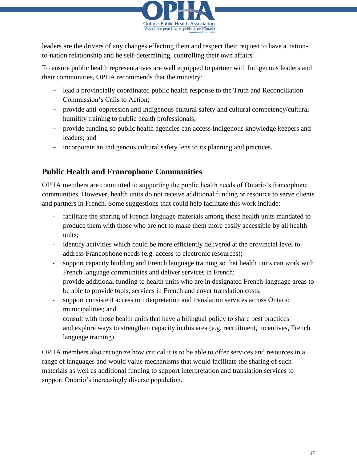

leaders are the drivers of any changes effecting them and respect their request to have a nationto-nation relationship and be self-determining, controlling their own affairs.

To ensure public health representatives are well equipped to partner with Indigenous leaders and their communities, OPHA recommends that the ministry:

- lead a provincially coordinated public health response to the Truth and Reconciliation Commission's Calls to Action;
- provide anti-oppression and Indigenous cultural safety and cultural competency/cultural humility training to public health professionals;
- provide funding so public health agencies can access Indigenous knowledge keepers and leaders; and
- incorporate an Indigenous cultural safety lens to its planning and practices.

# **Public Health and Francophone Communities**

OPHA members are committed to supporting the public health needs of Ontario's francophone communities. However, health units do not receive additional funding or resource to serve clients and partners in French. Some suggestions that could help facilitate this work include:

- facilitate the sharing of French language materials among those health units mandated to produce them with those who are not to make them more easily accessible by all health units;
- identify activities which could be more efficiently delivered at the provincial level to address Francophone needs (e.g. access to electronic resources);
- support capacity building and French language training so that health units can work with French language communities and deliver services in French;
- provide additional funding to health units who are in designated French-language areas to be able to provide tools, services in French and cover translation costs;
- support consistent access to interpretation and translation services across Ontario municipalities; and
- consult with those health units that have a bilingual policy to share best practices and explore ways to strengthen capacity in this area (e.g. recruitment, incentives, French language training).

OPHA members also recognize how critical it is to be able to offer services and resources in a range of languages and would value mechanisms that would facilitate the sharing of such materials as well as additional funding to support interpretation and translation services to support Ontario's increasingly diverse population.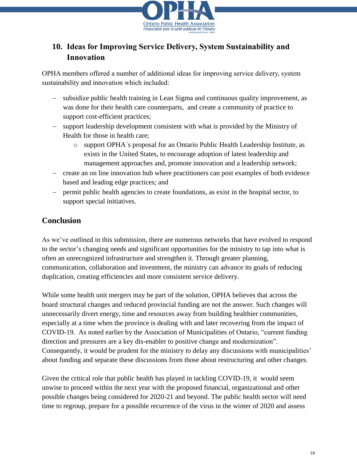

# **10. Ideas for Improving Service Delivery, System Sustainability and Innovation**

OPHA members offered a number of additional ideas for improving service delivery, system sustainability and innovation which included:

- subsidize public health training in Lean Sigma and continuous quality improvement, as was done for their health care counterparts, and create a community of practice to support cost-efficient practices;
- support leadership development consistent with what is provided by the Ministry of Health for those in health care;
	- o support OPHA`s proposal for an Ontario Public Health Leadership Institute, as exists in the United States, to encourage adoption of latest leadership and management approaches and, promote innovation and a leadership network;
- create an on line innovation hub where practitioners can post examples of both evidence based and leading edge practices; and
- permit public health agencies to create foundations, as exist in the hospital sector, to support special initiatives.

# **Conclusion**

As we've outlined in this submission, there are numerous networks that have evolved to respond to the sector's changing needs and significant opportunities for the ministry to tap into what is often an unrecognized infrastructure and strengthen it. Through greater planning, communication, collaboration and investment, the ministry can advance its goals of reducing duplication, creating efficiencies and more consistent service delivery.

While some health unit mergers may be part of the solution, OPHA believes that across the board structural changes and reduced provincial funding are not the answer. Such changes will unnecessarily divert energy, time and resources away from building healthier communities, especially at a time when the province is dealing with and later recovering from the impact of COVID-19. As noted earlier by the Association of Municipalities of Ontario, "current funding direction and pressures are a key dis-enabler to positive change and modernization". Consequently, it would be prudent for the ministry to delay any discussions with municipalities' about funding and separate these discussions from those about restructuring and other changes.

Given the critical role that public health has played in tackling COVID-19, it would seem unwise to proceed within the next year with the proposed financial, organizational and other possible changes being considered for 2020-21 and beyond. The public health sector will need time to regroup, prepare for a possible recurrence of the virus in the winter of 2020 and assess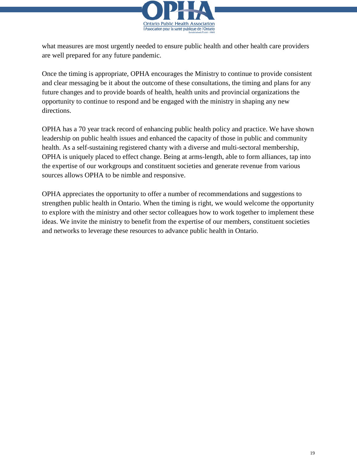

what measures are most urgently needed to ensure public health and other health care providers are well prepared for any future pandemic.

Once the timing is appropriate, OPHA encourages the Ministry to continue to provide consistent and clear messaging be it about the outcome of these consultations, the timing and plans for any future changes and to provide boards of health, health units and provincial organizations the opportunity to continue to respond and be engaged with the ministry in shaping any new directions.

OPHA has a 70 year track record of enhancing public health policy and practice. We have shown leadership on public health issues and enhanced the capacity of those in public and community health. As a self-sustaining registered chanty with a diverse and multi-sectoral membership, OPHA is uniquely placed to effect change. Being at arms-length, able to form alliances, tap into the expertise of our workgroups and constituent societies and generate revenue from various sources allows OPHA to be nimble and responsive.

OPHA appreciates the opportunity to offer a number of recommendations and suggestions to strengthen public health in Ontario. When the timing is right, we would welcome the opportunity to explore with the ministry and other sector colleagues how to work together to implement these ideas. We invite the ministry to benefit from the expertise of our members, constituent societies and networks to leverage these resources to advance public health in Ontario.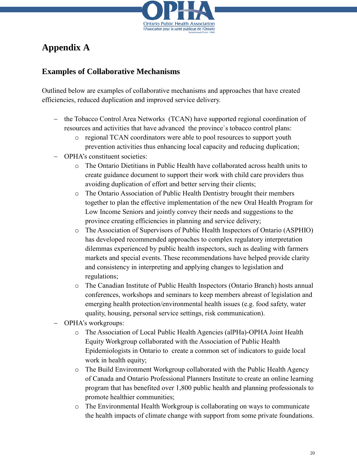

# **Appendix A**

# **Examples of Collaborative Mechanisms**

Outlined below are examples of collaborative mechanisms and approaches that have created efficiencies, reduced duplication and improved service delivery.

- the Tobacco Control Area Networks (TCAN) have supported regional coordination of resources and activities that have advanced the province`s tobacco control plans:
	- o regional TCAN coordinators were able to pool resources to support youth prevention activities thus enhancing local capacity and reducing duplication;
- OPHA's constituent societies:
	- o The Ontario Dietitians in Public Health have collaborated across health units to create guidance document to support their work with child care providers thus avoiding duplication of effort and better serving their clients;
	- o The Ontario Association of Public Health Dentistry brought their members together to plan the effective implementation of the new Oral Health Program for Low Income Seniors and jointly convey their needs and suggestions to the province creating efficiencies in planning and service delivery;
	- o The Association of Supervisors of Public Health Inspectors of Ontario (ASPHIO) has developed recommended approaches to complex regulatory interpretation dilemmas experienced by public health inspectors, such as dealing with farmers markets and special events. These recommendations have helped provide clarity and consistency in interpreting and applying changes to legislation and regulations;
	- o The Canadian Institute of Public Health Inspectors (Ontario Branch) hosts annual conferences, workshops and seminars to keep members abreast of legislation and emerging health protection/environmental health issues (e.g. food safety, water quality, housing, personal service settings, risk communication).
- OPHA's workgroups:
	- o The Association of Local Public Health Agencies (alPHa)-OPHA Joint Health Equity Workgroup collaborated with the Association of Public Health Epidemiologists in Ontario to create a common set of indicators to guide local work in health equity;
	- o The Build Environment Workgroup collaborated with the Public Health Agency of Canada and Ontario Professional Planners Institute to create an online learning program that has benefited over 1,800 public health and planning professionals to promote healthier communities;
	- o The Environmental Health Workgroup is collaborating on ways to communicate the health impacts of climate change with support from some private foundations.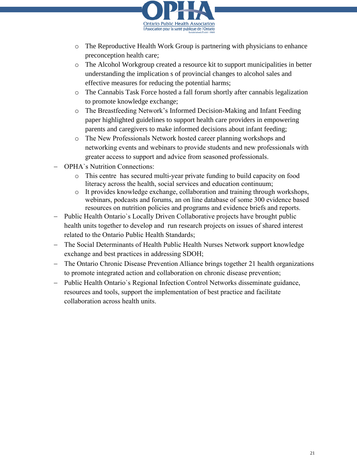

- $\circ$  The Reproductive Health Work Group is partnering with physicians to enhance preconception health care;
- o The Alcohol Workgroup created a resource kit to support municipalities in better understanding the implication s of provincial changes to alcohol sales and effective measures for reducing the potential harms;
- o The Cannabis Task Force hosted a fall forum shortly after cannabis legalization to promote knowledge exchange;
- o The Breastfeeding Network's Informed Decision-Making and Infant Feeding paper highlighted guidelines to support health care providers in empowering parents and caregivers to make informed decisions about infant feeding;
- o The New Professionals Network hosted career planning workshops and networking events and webinars to provide students and new professionals with greater access to support and advice from seasoned professionals.
- OPHA`s Nutrition Connections:
	- o This centre has secured multi-year private funding to build capacity on food literacy across the health, social services and education continuum;
	- o It provides knowledge exchange, collaboration and training through workshops, webinars, podcasts and forums, an on line database of some 300 evidence based resources on nutrition policies and programs and evidence briefs and reports.
- Public Health Ontario's Locally Driven Collaborative projects have brought public health units together to develop and run research projects on issues of shared interest related to the Ontario Public Health Standards;
- The Social Determinants of Health Public Health Nurses Network support knowledge exchange and best practices in addressing SDOH;
- The Ontario Chronic Disease Prevention Alliance brings together 21 health organizations to promote integrated action and collaboration on chronic disease prevention;
- Public Health Ontario's Regional Infection Control Networks disseminate guidance, resources and tools, support the implementation of best practice and facilitate collaboration across health units.